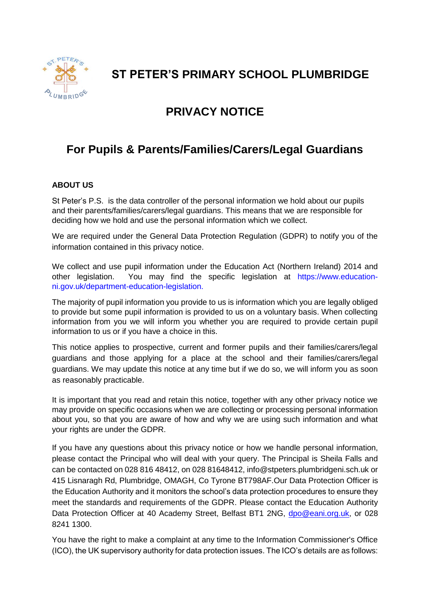

**ST PETER'S PRIMARY SCHOOL PLUMBRIDGE**

# **PRIVACY NOTICE**

# **For Pupils & Parents/Families/Carers/Legal Guardians**

# **ABOUT US**

St Peter's P.S. is the data controller of the personal information we hold about our pupils and their parents/families/carers/legal guardians. This means that we are responsible for deciding how we hold and use the personal information which we collect.

We are required under the General Data Protection Regulation (GDPR) to notify you of the information contained in this privacy notice.

We collect and use pupil information under the Education Act (Northern Ireland) 2014 and other legislation. You may find the specific legislation at https://www.educationni.gov.uk/department-education-legislation.

The majority of pupil information you provide to us is information which you are legally obliged to provide but some pupil information is provided to us on a voluntary basis. When collecting information from you we will inform you whether you are required to provide certain pupil information to us or if you have a choice in this.

This notice applies to prospective, current and former pupils and their families/carers/legal guardians and those applying for a place at the school and their families/carers/legal guardians. We may update this notice at any time but if we do so, we will inform you as soon as reasonably practicable.

It is important that you read and retain this notice, together with any other privacy notice we may provide on specific occasions when we are collecting or processing personal information about you, so that you are aware of how and why we are using such information and what your rights are under the GDPR.

If you have any questions about this privacy notice or how we handle personal information, please contact the Principal who will deal with your query. The Principal is Sheila Falls and can be contacted on 028 816 48412, on 028 81648412, info@stpeters.plumbridgeni.sch.uk or 415 Lisnaragh Rd, Plumbridge, OMAGH, Co Tyrone BT798AF.Our Data Protection Officer is the Education Authority and it monitors the school's data protection procedures to ensure they meet the standards and requirements of the GDPR. Please contact the Education Authority Data Protection Officer at 40 Academy Street, Belfast BT1 2NG, [dpo@eani.org.uk,](mailto:dpo@eani.org.uk) or 028 8241 1300.

You have the right to make a complaint at any time to the Information Commissioner's Office (ICO), the UK supervisory authority for data protection issues. The ICO's details are as follows: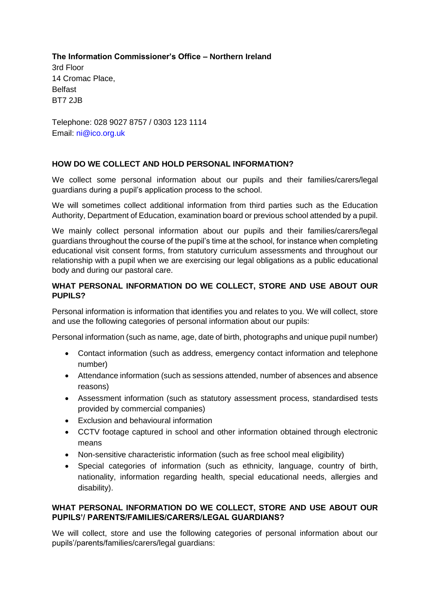**The Information Commissioner's Office – Northern Ireland**

3rd Floor 14 Cromac Place, Belfast BT7 2JB

Telephone: 028 9027 8757 / 0303 123 1114 Email: ni@ico.org.uk

# **HOW DO WE COLLECT AND HOLD PERSONAL INFORMATION?**

We collect some personal information about our pupils and their families/carers/legal guardians during a pupil's application process to the school.

We will sometimes collect additional information from third parties such as the Education Authority, Department of Education, examination board or previous school attended by a pupil.

We mainly collect personal information about our pupils and their families/carers/legal guardians throughout the course of the pupil's time at the school, for instance when completing educational visit consent forms, from statutory curriculum assessments and throughout our relationship with a pupil when we are exercising our legal obligations as a public educational body and during our pastoral care.

## **WHAT PERSONAL INFORMATION DO WE COLLECT, STORE AND USE ABOUT OUR PUPILS?**

Personal information is information that identifies you and relates to you. We will collect, store and use the following categories of personal information about our pupils:

Personal information (such as name, age, date of birth, photographs and unique pupil number)

- Contact information (such as address, emergency contact information and telephone number)
- Attendance information (such as sessions attended, number of absences and absence reasons)
- Assessment information (such as statutory assessment process, standardised tests provided by commercial companies)
- Exclusion and behavioural information
- CCTV footage captured in school and other information obtained through electronic means
- Non-sensitive characteristic information (such as free school meal eligibility)
- Special categories of information (such as ethnicity, language, country of birth, nationality, information regarding health, special educational needs, allergies and disability).

## **WHAT PERSONAL INFORMATION DO WE COLLECT, STORE AND USE ABOUT OUR PUPILS'/ PARENTS/FAMILIES/CARERS/LEGAL GUARDIANS?**

We will collect, store and use the following categories of personal information about our pupils'/parents/families/carers/legal guardians: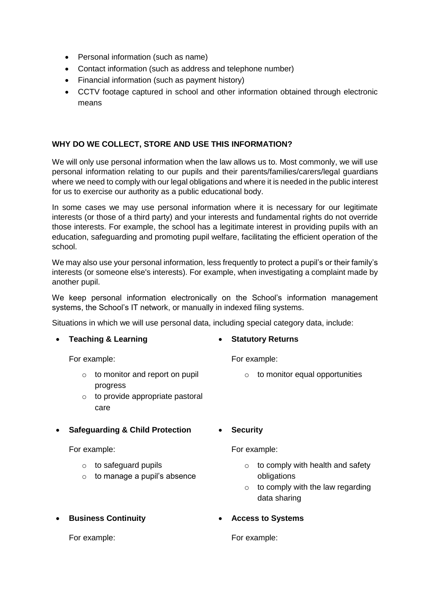- Personal information (such as name)
- Contact information (such as address and telephone number)
- Financial information (such as payment history)
- CCTV footage captured in school and other information obtained through electronic means

## **WHY DO WE COLLECT, STORE AND USE THIS INFORMATION?**

We will only use personal information when the law allows us to. Most commonly, we will use personal information relating to our pupils and their parents/families/carers/legal guardians where we need to comply with our legal obligations and where it is needed in the public interest for us to exercise our authority as a public educational body.

In some cases we may use personal information where it is necessary for our legitimate interests (or those of a third party) and your interests and fundamental rights do not override those interests. For example, the school has a legitimate interest in providing pupils with an education, safeguarding and promoting pupil welfare, facilitating the efficient operation of the school.

We may also use your personal information, less frequently to protect a pupil's or their family's interests (or someone else's interests). For example, when investigating a complaint made by another pupil.

We keep personal information electronically on the School's information management systems, the School's IT network, or manually in indexed filing systems.

Situations in which we will use personal data, including special category data, include:

**Teaching & Learning**

For example:

- o to monitor and report on pupil progress
- o to provide appropriate pastoral care

## **Safeguarding & Child Protection**

For example:

- o to safeguard pupils
- $\circ$  to manage a pupil's absence
- **Business Continuity**

**Statutory Returns**

For example:

- o to monitor equal opportunities
- **Security**

For example:

- $\circ$  to comply with health and safety obligations
- $\circ$  to comply with the law regarding data sharing
- **Access to Systems**

For example:

For example: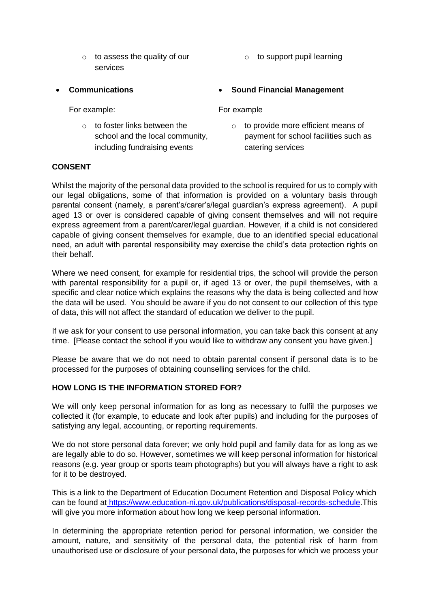- o to assess the quality of our services
- **Communications**

For example:

o to foster links between the school and the local community, including fundraising events

o to support pupil learning

## **Sound Financial Management**

#### For example

o to provide more efficient means of payment for school facilities such as catering services

## **CONSENT**

Whilst the majority of the personal data provided to the school is required for us to comply with our legal obligations, some of that information is provided on a voluntary basis through parental consent (namely, a parent's/carer's/legal guardian's express agreement). A pupil aged 13 or over is considered capable of giving consent themselves and will not require express agreement from a parent/carer/legal guardian. However, if a child is not considered capable of giving consent themselves for example, due to an identified special educational need, an adult with parental responsibility may exercise the child's data protection rights on their behalf.

Where we need consent, for example for residential trips, the school will provide the person with parental responsibility for a pupil or, if aged 13 or over, the pupil themselves, with a specific and clear notice which explains the reasons why the data is being collected and how the data will be used. You should be aware if you do not consent to our collection of this type of data, this will not affect the standard of education we deliver to the pupil.

If we ask for your consent to use personal information, you can take back this consent at any time. [Please contact the school if you would like to withdraw any consent you have given.]

Please be aware that we do not need to obtain parental consent if personal data is to be processed for the purposes of obtaining counselling services for the child.

## **HOW LONG IS THE INFORMATION STORED FOR?**

We will only keep personal information for as long as necessary to fulfil the purposes we collected it (for example, to educate and look after pupils) and including for the purposes of satisfying any legal, accounting, or reporting requirements.

We do not store personal data forever; we only hold pupil and family data for as long as we are legally able to do so. However, sometimes we will keep personal information for historical reasons (e.g. year group or sports team photographs) but you will always have a right to ask for it to be destroyed.

This is a link to the Department of Education Document Retention and Disposal Policy which can be found at [https://www.education-ni.gov.uk/publications/disposal-records-schedule.](https://www.education-ni.gov.uk/publications/disposal-records-schedule)This will give you more information about how long we keep personal information.

In determining the appropriate retention period for personal information, we consider the amount, nature, and sensitivity of the personal data, the potential risk of harm from unauthorised use or disclosure of your personal data, the purposes for which we process your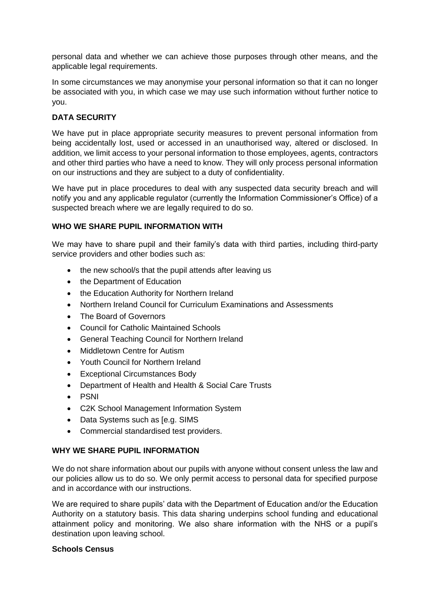personal data and whether we can achieve those purposes through other means, and the applicable legal requirements.

In some circumstances we may anonymise your personal information so that it can no longer be associated with you, in which case we may use such information without further notice to you.

## **DATA SECURITY**

We have put in place appropriate security measures to prevent personal information from being accidentally lost, used or accessed in an unauthorised way, altered or disclosed. In addition, we limit access to your personal information to those employees, agents, contractors and other third parties who have a need to know. They will only process personal information on our instructions and they are subject to a duty of confidentiality.

We have put in place procedures to deal with any suspected data security breach and will notify you and any applicable regulator (currently the Information Commissioner's Office) of a suspected breach where we are legally required to do so.

## **WHO WE SHARE PUPIL INFORMATION WITH**

We may have to share pupil and their family's data with third parties, including third-party service providers and other bodies such as:

- the new school/s that the pupil attends after leaving us
- the Department of Education
- the Education Authority for Northern Ireland
- Northern Ireland Council for Curriculum Examinations and Assessments
- The Board of Governors
- Council for Catholic Maintained Schools
- General Teaching Council for Northern Ireland
- Middletown Centre for Autism
- Youth Council for Northern Ireland
- Exceptional Circumstances Body
- Department of Health and Health & Social Care Trusts
- PSNI
- C2K School Management Information System
- Data Systems such as Ie.g. SIMS
- Commercial standardised test providers.

## **WHY WE SHARE PUPIL INFORMATION**

We do not share information about our pupils with anyone without consent unless the law and our policies allow us to do so. We only permit access to personal data for specified purpose and in accordance with our instructions.

We are required to share pupils' data with the Department of Education and/or the Education Authority on a statutory basis. This data sharing underpins school funding and educational attainment policy and monitoring. We also share information with the NHS or a pupil's destination upon leaving school.

## **Schools Census**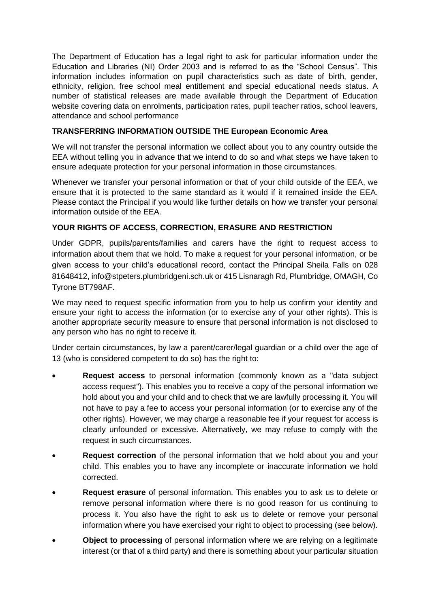The Department of Education has a legal right to ask for particular information under the Education and Libraries (NI) Order 2003 and is referred to as the "School Census". This information includes information on pupil characteristics such as date of birth, gender, ethnicity, religion, free school meal entitlement and special educational needs status. A number of statistical releases are made available through the Department of Education website covering data on enrolments, participation rates, pupil teacher ratios, school leavers, attendance and school performance

# **TRANSFERRING INFORMATION OUTSIDE THE European Economic Area**

We will not transfer the personal information we collect about you to any country outside the EEA without telling you in advance that we intend to do so and what steps we have taken to ensure adequate protection for your personal information in those circumstances.

Whenever we transfer your personal information or that of your child outside of the EEA, we ensure that it is protected to the same standard as it would if it remained inside the EEA. Please contact the Principal if you would like further details on how we transfer your personal information outside of the EEA.

# **YOUR RIGHTS OF ACCESS, CORRECTION, ERASURE AND RESTRICTION**

Under GDPR, pupils/parents/families and carers have the right to request access to information about them that we hold. To make a request for your personal information, or be given access to your child's educational record, contact the Principal Sheila Falls on 028 81648412, info@stpeters.plumbridgeni.sch.uk or 415 Lisnaragh Rd, Plumbridge, OMAGH, Co Tyrone BT798AF.

We may need to request specific information from you to help us confirm your identity and ensure your right to access the information (or to exercise any of your other rights). This is another appropriate security measure to ensure that personal information is not disclosed to any person who has no right to receive it.

Under certain circumstances, by law a parent/carer/legal guardian or a child over the age of 13 (who is considered competent to do so) has the right to:

- **Request access** to personal information (commonly known as a "data subject access request"). This enables you to receive a copy of the personal information we hold about you and your child and to check that we are lawfully processing it. You will not have to pay a fee to access your personal information (or to exercise any of the other rights). However, we may charge a reasonable fee if your request for access is clearly unfounded or excessive. Alternatively, we may refuse to comply with the request in such circumstances.
- **Request correction** of the personal information that we hold about you and your child. This enables you to have any incomplete or inaccurate information we hold corrected.
- **Request erasure** of personal information. This enables you to ask us to delete or remove personal information where there is no good reason for us continuing to process it. You also have the right to ask us to delete or remove your personal information where you have exercised your right to object to processing (see below).
- **Object to processing** of personal information where we are relying on a legitimate interest (or that of a third party) and there is something about your particular situation